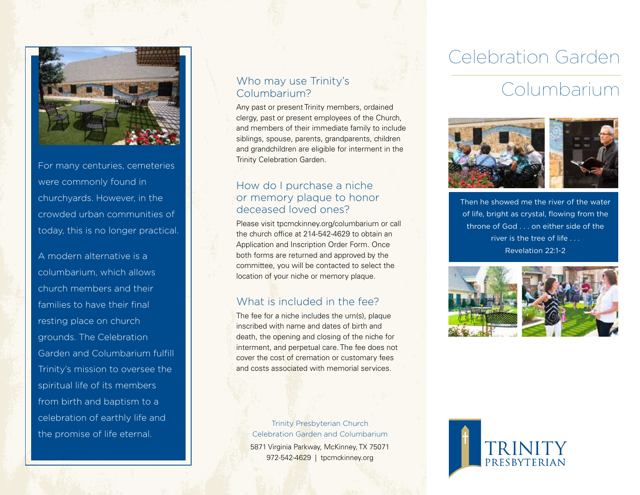

For many centuries, cemeteries were commonly found in churchyards. However, in the crowded urban communities of today, this is no longer practical.

A modern alternative is a columbarium, which allows church members and their families to have their final resting place on church grounds. The Celebration Garden and Columbarium fulfill Trinity's mission to oversee the spiritual life of its members from birth and baptism to a celebration of earthly life and the promise of life eternal.

### Who may use Trinity's Columbarium?

Any past or present Trinity members, ordained clergy, past or present employees of the Church, and members of their immediate family to include siblings, spouse, parents, grandparents, children and grandchildren are eligible for interment in the Trinity Celebration Garden.

### How do I purchase a niche or memory plaque to honor deceased loved ones?

Please visit tpcmckinney.org/columbarium or call the church office at 214-542-4629 to obtain an Application and Inscription Order Form. Once both forms are returned and approved by the committee, you will be contacted to select the location of your niche or memory plaque.

## What is included in the fee?

The fee for a niche includes the urn(s), plaque inscribed with name and dates of birth and death, the opening and closing of the niche for interment, and perpetual care. The fee does not cover the cost of cremation or customary fees and costs associated with memorial services.

Trinity Presbyterian Church Celebration Garden and Columbarium 5871 Virginia Parkway, McKinney, TX 75071 972-542-4629 | tpcmckinney.org

# Celebration Garden

# Columbarium



Then he showed me the river of the water of life, bright as crystal, flowing from the throne of God . . . on either side of the river is the tree of life . . . Revelation 22:1-2